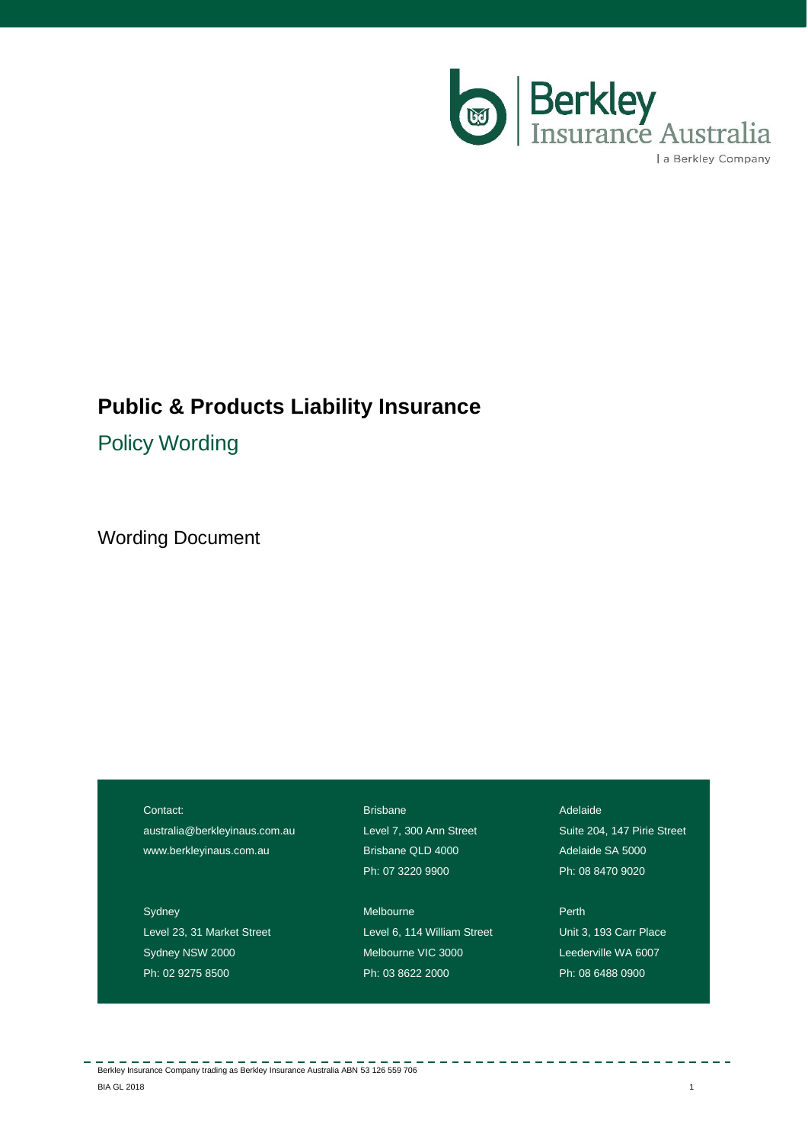

# **Public & Products Liability Insurance**

Policy Wording

Wording Document

Contact:

[australia@berkleyinaus.com.au](mailto:australia@berkleyinaus.com.au) www.berkleyinaus.com.au

Sydney Level 23, 31 Market Street Sydney NSW 2000 Ph: 02 9275 8500

Brisbane Level 7, 300 Ann Street Brisbane QLD 4000 Ph: 07 3220 9900

Melbourne Level 6, 114 William Street Melbourne VIC 3000 Ph: 03 8622 2000

Adelaide

Suite 204, 147 Pirie Street Adelaide SA 5000 Ph: 08 8470 9020

Perth Unit 3, 193 Carr Place Leederville WA 6007 Ph: 08 6488 0900

Berkley Insurance Company trading as Berkley Insurance Australia ABN 53 126 559 706 er and the set of the set of the set of the set of the set of the set of the set of the set of the set of the set of the set of the set of the set of the set of the set of the set of the set of the set of the set of the se

 $\frac{1}{2} \frac{1}{2} \frac{1}{2} \frac{1}{2} \frac{1}{2} \frac{1}{2} \frac{1}{2} \frac{1}{2} \frac{1}{2} \frac{1}{2} \frac{1}{2} \frac{1}{2} \frac{1}{2} \frac{1}{2} \frac{1}{2} \frac{1}{2} \frac{1}{2} \frac{1}{2} \frac{1}{2} \frac{1}{2} \frac{1}{2} \frac{1}{2} \frac{1}{2} \frac{1}{2} \frac{1}{2} \frac{1}{2} \frac{1}{2} \frac{1}{2} \frac{1}{2} \frac{1}{2} \frac{1}{2} \frac{$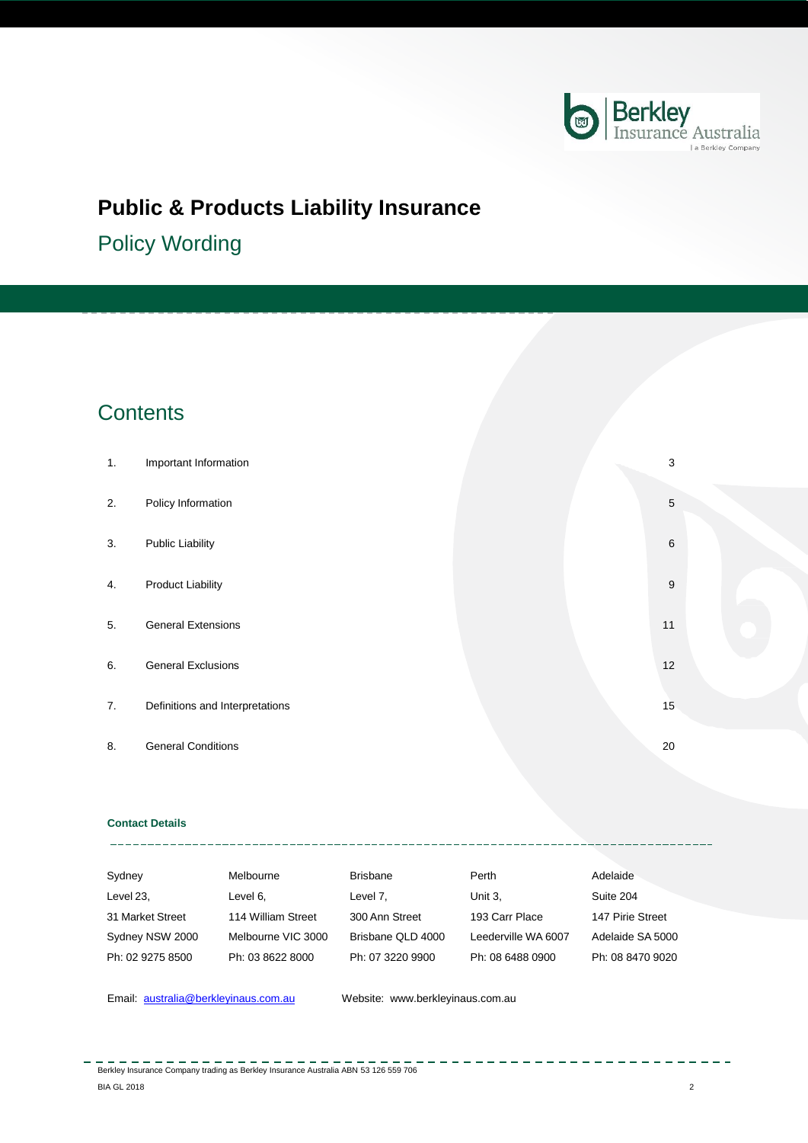

# **Public & Products Liability Insurance**

Policy Wording

# **Contents**

| 1. | Important Information           |  | 3  |
|----|---------------------------------|--|----|
| 2. | Policy Information              |  | 5  |
| 3. | <b>Public Liability</b>         |  | 6  |
| 4. | <b>Product Liability</b>        |  | 9  |
| 5. | <b>General Extensions</b>       |  | 11 |
| 6. | <b>General Exclusions</b>       |  | 12 |
| 7. | Definitions and Interpretations |  | 15 |
| 8. | <b>General Conditions</b>       |  | 20 |

## **Contact Details** \_\_\_\_\_\_\_\_\_\_

| Sydney           | Melbourne          | <b>Brisbane</b>   | Perth               | Adelaide         |
|------------------|--------------------|-------------------|---------------------|------------------|
| Level 23,        | Level 6.           | Level 7,          | Unit 3.             | Suite 204        |
| 31 Market Street | 114 William Street | 300 Ann Street    | 193 Carr Place      | 147 Pirie Street |
| Sydney NSW 2000  | Melbourne VIC 3000 | Brisbane QLD 4000 | Leederville WA 6007 | Adelaide SA 5000 |
| Ph: 02 9275 8500 | Ph: 03 8622 8000   | Ph: 07 3220 9900  | Ph: 08 6488 0900    | Ph: 08 8470 9020 |

Email: **[australia@berkleyinaus.com.au](mailto:australia@berkleyinaus.com.au)** Website: www.berkleyinaus.com.au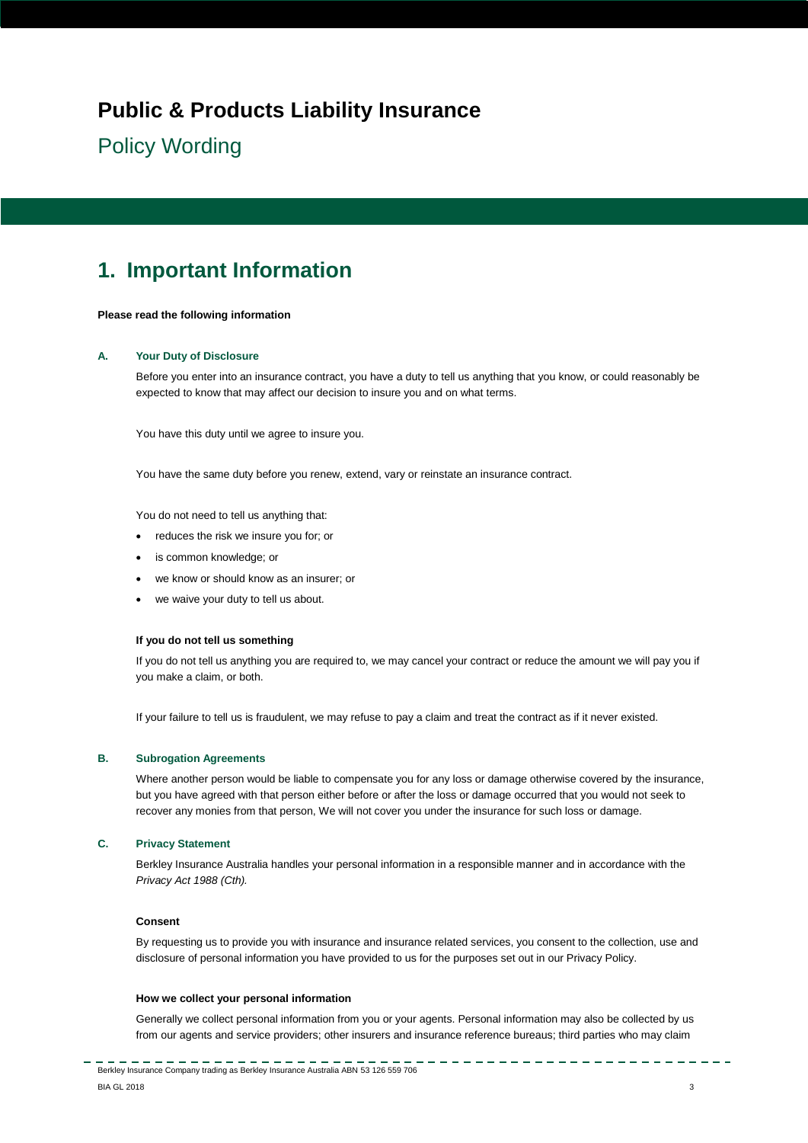# **Public & Products Liability Insurance**

# Policy Wording

# <span id="page-2-0"></span>**1. Important Information**

### **Please read the following information**

## **A. Your Duty of Disclosure**

Before you enter into an insurance contract, you have a duty to tell us anything that you know, or could reasonably be expected to know that may affect our decision to insure you and on what terms.

You have this duty until we agree to insure you.

You have the same duty before you renew, extend, vary or reinstate an insurance contract.

You do not need to tell us anything that:

- reduces the risk we insure you for; or
- is common knowledge; or
- we know or should know as an insurer; or
- we waive your duty to tell us about.

## **If you do not tell us something**

If you do not tell us anything you are required to, we may cancel your contract or reduce the amount we will pay you if you make a claim, or both.

If your failure to tell us is fraudulent, we may refuse to pay a claim and treat the contract as if it never existed.

## **B. Subrogation Agreements**

Where another person would be liable to compensate you for any loss or damage otherwise covered by the insurance, but you have agreed with that person either before or after the loss or damage occurred that you would not seek to recover any monies from that person, We will not cover you under the insurance for such loss or damage.

# **C. Privacy Statement**

Berkley Insurance Australia handles your personal information in a responsible manner and in accordance with the *Privacy Act 1988 (Cth).*

#### **Consent**

By requesting us to provide you with insurance and insurance related services, you consent to the collection, use and disclosure of personal information you have provided to us for the purposes set out in our Privacy Policy.

#### **How we collect your personal information**

Generally we collect personal information from you or your agents. Personal information may also be collected by us from our agents and service providers; other insurers and insurance reference bureaus; third parties who may claim

<u> 100 minute</u>

----------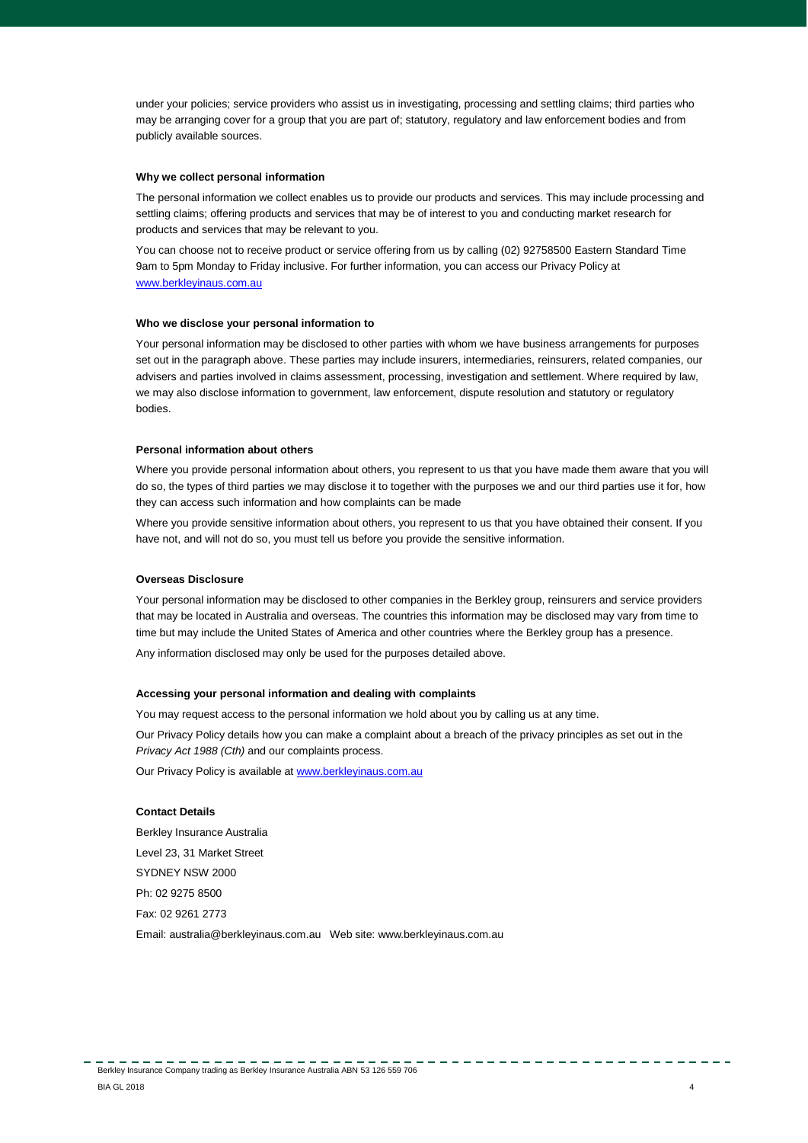under your policies; service providers who assist us in investigating, processing and settling claims; third parties who may be arranging cover for a group that you are part of; statutory, regulatory and law enforcement bodies and from publicly available sources.

#### **Why we collect personal information**

The personal information we collect enables us to provide our products and services. This may include processing and settling claims; offering products and services that may be of interest to you and conducting market research for products and services that may be relevant to you.

You can choose not to receive product or service offering from us by calling (02) 92758500 Eastern Standard Time 9am to 5pm Monday to Friday inclusive. For further information, you can access our Privacy Policy at [www.berkleyinaus.com.au](http://www.berkleyinaus.com.au/)

### **Who we disclose your personal information to**

Your personal information may be disclosed to other parties with whom we have business arrangements for purposes set out in the paragraph above. These parties may include insurers, intermediaries, reinsurers, related companies, our advisers and parties involved in claims assessment, processing, investigation and settlement. Where required by law, we may also disclose information to government, law enforcement, dispute resolution and statutory or regulatory bodies.

#### **Personal information about others**

Where you provide personal information about others, you represent to us that you have made them aware that you will do so, the types of third parties we may disclose it to together with the purposes we and our third parties use it for, how they can access such information and how complaints can be made

Where you provide sensitive information about others, you represent to us that you have obtained their consent. If you have not, and will not do so, you must tell us before you provide the sensitive information.

#### **Overseas Disclosure**

Your personal information may be disclosed to other companies in the Berkley group, reinsurers and service providers that may be located in Australia and overseas. The countries this information may be disclosed may vary from time to time but may include the United States of America and other countries where the Berkley group has a presence.

Any information disclosed may only be used for the purposes detailed above.

### **Accessing your personal information and dealing with complaints**

You may request access to the personal information we hold about you by calling us at any time.

Our Privacy Policy details how you can make a complaint about a breach of the privacy principles as set out in the *Privacy Act 1988 (Cth)* and our complaints process.

Our Privacy Policy is available a[t www.berkleyinaus.com.au](http://www.berkleyinaus.com.au/)

## **Contact Details**

Berkley Insurance Australia Level 23, 31 Market Street SYDNEY NSW 2000 Ph: 02 9275 8500 Fax: 02 9261 2773 [Email: australia@berkleyinaus.com.a](mailto:australia@wrberkley.com)u Web site[: www.berkleyinaus.com.au](http://www.wrbaustralia.com.au/)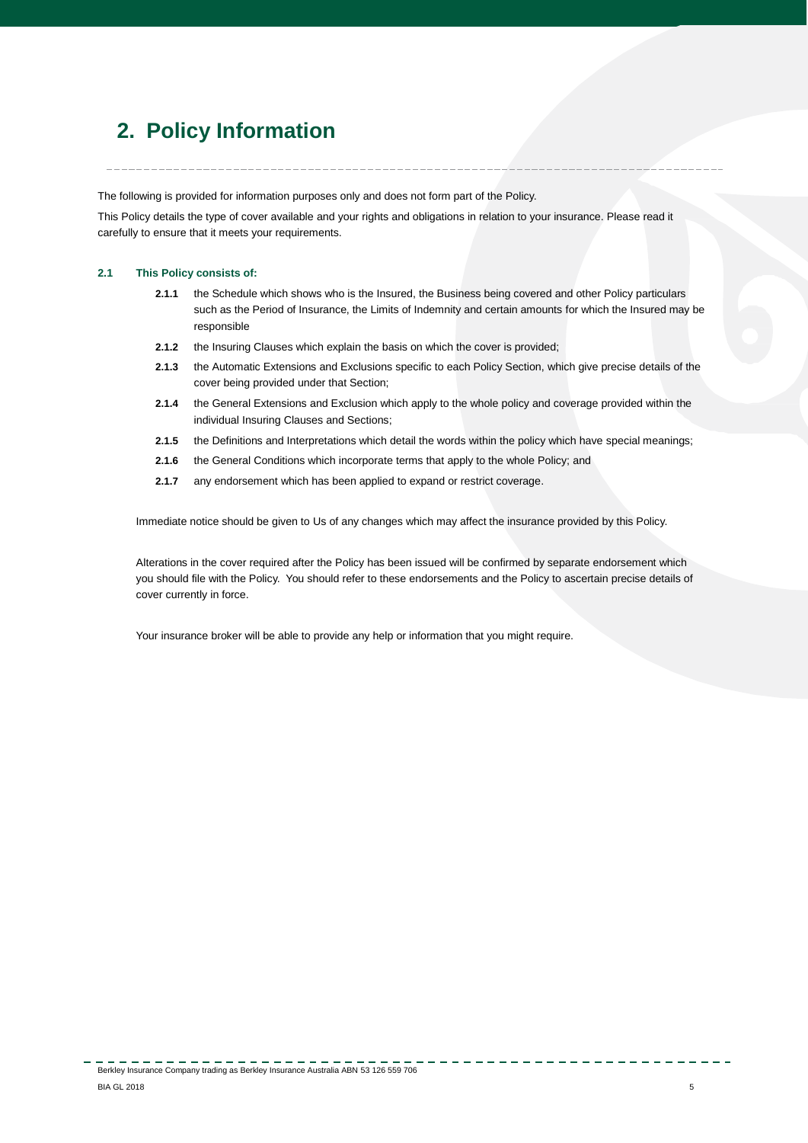# <span id="page-4-0"></span>**2. Policy Information**

The following is provided for information purposes only and does not form part of the Policy.

This Policy details the type of cover available and your rights and obligations in relation to your insurance. Please read it carefully to ensure that it meets your requirements.

## **2.1 This Policy consists of:**

- **2.1.1** the Schedule which shows who is the Insured, the Business being covered and other Policy particulars such as the Period of Insurance, the Limits of Indemnity and certain amounts for which the Insured may be responsible
- **2.1.2** the Insuring Clauses which explain the basis on which the cover is provided;
- **2.1.3** the Automatic Extensions and Exclusions specific to each Policy Section, which give precise details of the cover being provided under that Section;
- **2.1.4** the General Extensions and Exclusion which apply to the whole policy and coverage provided within the individual Insuring Clauses and Sections;
- **2.1.5** the Definitions and Interpretations which detail the words within the policy which have special meanings;
- **2.1.6** the General Conditions which incorporate terms that apply to the whole Policy; and
- **2.1.7** any endorsement which has been applied to expand or restrict coverage.

Immediate notice should be given to Us of any changes which may affect the insurance provided by this Policy.

Alterations in the cover required after the Policy has been issued will be confirmed by separate endorsement which you should file with the Policy. You should refer to these endorsements and the Policy to ascertain precise details of cover currently in force.

Your insurance broker will be able to provide any help or information that you might require.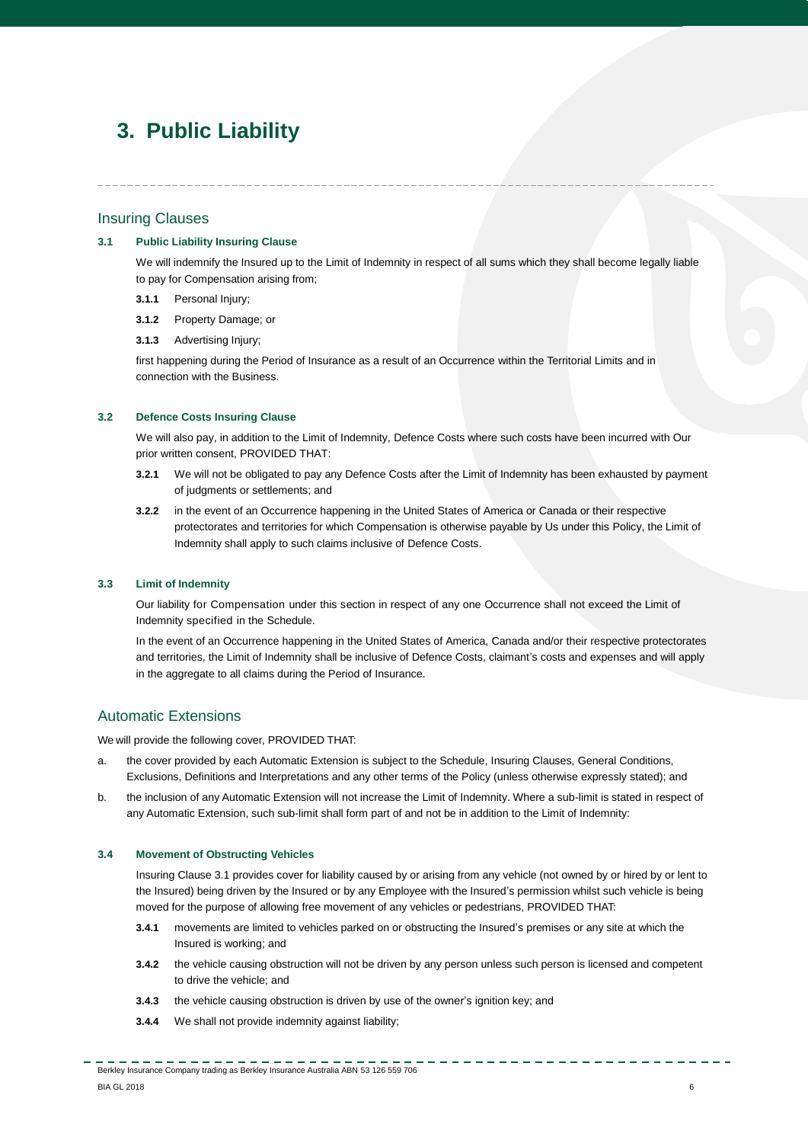# <span id="page-5-0"></span>**3. Public Liability**

## Insuring Clauses

## **3.1 Public Liability Insuring Clause**

We will indemnify the Insured up to the Limit of Indemnity in respect of all sums which they shall become legally liable to pay for Compensation arising from;

- **3.1.1** Personal Injury;
- **3.1.2** Property Damage; or
- **3.1.3** Advertising Injury;

first happening during the Period of Insurance as a result of an Occurrence within the Territorial Limits and in connection with the Business.

## **3.2 Defence Costs Insuring Clause**

We will also pay, in addition to the Limit of Indemnity, Defence Costs where such costs have been incurred with Our prior written consent, PROVIDED THAT:

- **3.2.1** We will not be obligated to pay any Defence Costs after the Limit of Indemnity has been exhausted by payment of judgments or settlements; and
- **3.2.2** in the event of an Occurrence happening in the United States of America or Canada or their respective protectorates and territories for which Compensation is otherwise payable by Us under this Policy, the Limit of Indemnity shall apply to such claims inclusive of Defence Costs.

## **3.3 Limit of Indemnity**

Our liability for Compensation under this section in respect of any one Occurrence shall not exceed the Limit of Indemnity specified in the Schedule.

In the event of an Occurrence happening in the United States of America, Canada and/or their respective protectorates and territories, the Limit of Indemnity shall be inclusive of Defence Costs, claimant's costs and expenses and will apply in the aggregate to all claims during the Period of Insurance.

# Automatic Extensions

We will provide the following cover, PROVIDED THAT:

- a. the cover provided by each Automatic Extension is subject to the Schedule, Insuring Clauses, General Conditions, Exclusions, Definitions and Interpretations and any other terms of the Policy (unless otherwise expressly stated); and
- b. the inclusion of any Automatic Extension will not increase the Limit of Indemnity. Where a sub-limit is stated in respect of any Automatic Extension, such sub-limit shall form part of and not be in addition to the Limit of Indemnity:

## **3.4 Movement of Obstructing Vehicles**

Insuring Clause 3.1 provides cover for liability caused by or arising from any vehicle (not owned by or hired by or lent to the Insured) being driven by the Insured or by any Employee with the Insured's permission whilst such vehicle is being moved for the purpose of allowing free movement of any vehicles or pedestrians, PROVIDED THAT:

- **3.4.1** movements are limited to vehicles parked on or obstructing the Insured's premises or any site at which the Insured is working; and
- **3.4.2** the vehicle causing obstruction will not be driven by any person unless such person is licensed and competent to drive the vehicle; and
- **3.4.3** the vehicle causing obstruction is driven by use of the owner's ignition key; and
- **3.4.4** We shall not provide indemnity against liability;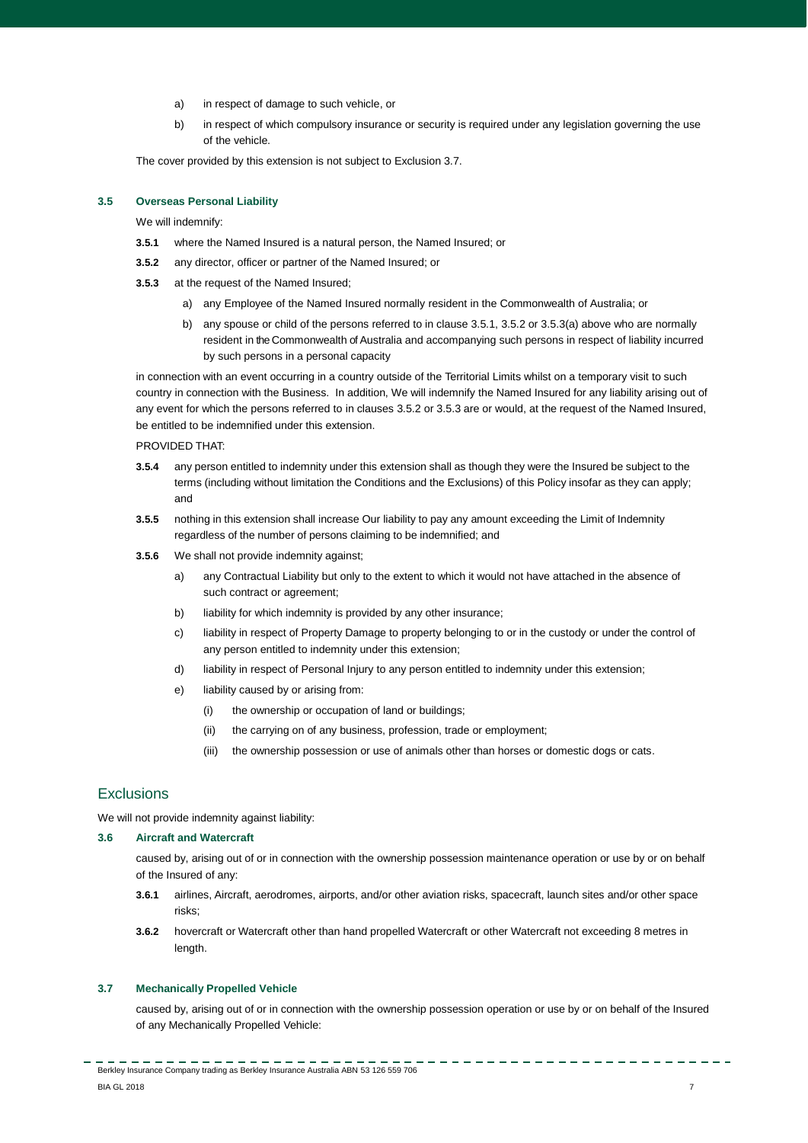- a) in respect of damage to such vehicle, or
- b) in respect of which compulsory insurance or security is required under any legislation governing the use of the vehicle.

The cover provided by this extension is not subject to Exclusion 3.7.

## **3.5 Overseas Personal Liability**

We will indemnify:

- **3.5.1** where the Named Insured is a natural person, the Named Insured; or
- **3.5.2** any director, officer or partner of the Named Insured; or
- **3.5.3** at the request of the Named Insured;
	- a) any Employee of the Named Insured normally resident in the Commonwealth of Australia; or
	- b) any spouse or child of the persons referred to in clause 3.5.1, 3.5.2 or 3.5.3(a) above who are normally resident in the Commonwealth of Australia and accompanying such persons in respect of liability incurred by such persons in a personal capacity

in connection with an event occurring in a country outside of the Territorial Limits whilst on a temporary visit to such country in connection with the Business. In addition, We will indemnify the Named Insured for any liability arising out of any event for which the persons referred to in clauses 3.5.2 or 3.5.3 are or would, at the request of the Named Insured, be entitled to be indemnified under this extension.

PROVIDED THAT:

- **3.5.4** any person entitled to indemnity under this extension shall as though they were the Insured be subject to the terms (including without limitation the Conditions and the Exclusions) of this Policy insofar as they can apply; and
- **3.5.5** nothing in this extension shall increase Our liability to pay any amount exceeding the Limit of Indemnity regardless of the number of persons claiming to be indemnified; and
- **3.5.6** We shall not provide indemnity against;
	- a) any Contractual Liability but only to the extent to which it would not have attached in the absence of such contract or agreement;
	- b) liability for which indemnity is provided by any other insurance;
	- c) liability in respect of Property Damage to property belonging to or in the custody or under the control of any person entitled to indemnity under this extension;
	- d) liability in respect of Personal Injury to any person entitled to indemnity under this extension;
	- e) liability caused by or arising from:
		- (i) the ownership or occupation of land or buildings;
		- (ii) the carrying on of any business, profession, trade or employment;
		- (iii) the ownership possession or use of animals other than horses or domestic dogs or cats.

# Exclusions

We will not provide indemnity against liability:

## **3.6 Aircraft and Watercraft**

caused by, arising out of or in connection with the ownership possession maintenance operation or use by or on behalf of the Insured of any:

- **3.6.1** airlines, Aircraft, aerodromes, airports, and/or other aviation risks, spacecraft, launch sites and/or other space risks;
- **3.6.2** hovercraft or Watercraft other than hand propelled Watercraft or other Watercraft not exceeding 8 metres in length.

## **3.7 Mechanically Propelled Vehicle**

caused by, arising out of or in connection with the ownership possession operation or use by or on behalf of the Insured of any Mechanically Propelled Vehicle:

----------------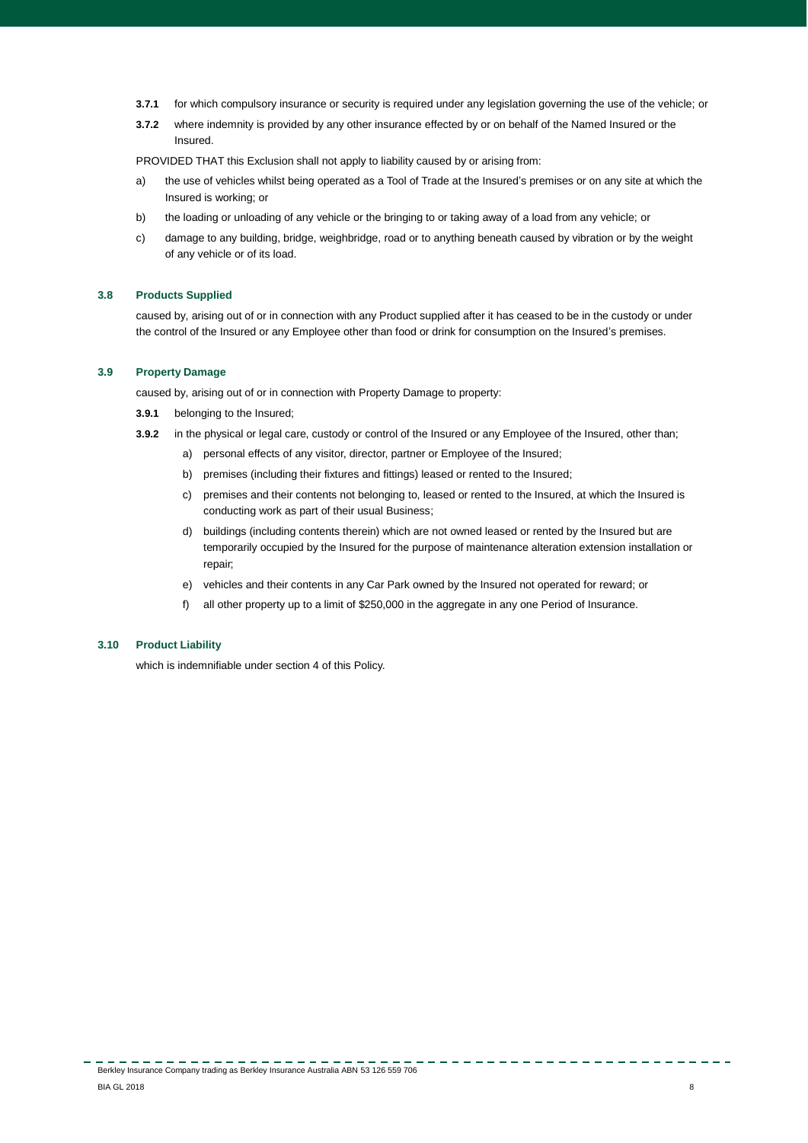- **3.7.1** for which compulsory insurance or security is required under any legislation governing the use of the vehicle; or
- **3.7.2** where indemnity is provided by any other insurance effected by or on behalf of the Named Insured or the Insured.

PROVIDED THAT this Exclusion shall not apply to liability caused by or arising from:

- a) the use of vehicles whilst being operated as a Tool of Trade at the Insured's premises or on any site at which the Insured is working; or
- b) the loading or unloading of any vehicle or the bringing to or taking away of a load from any vehicle; or
- c) damage to any building, bridge, weighbridge, road or to anything beneath caused by vibration or by the weight of any vehicle or of its load.

## **3.8 Products Supplied**

caused by, arising out of or in connection with any Product supplied after it has ceased to be in the custody or under the control of the Insured or any Employee other than food or drink for consumption on the Insured's premises.

### **3.9 Property Damage**

caused by, arising out of or in connection with Property Damage to property:

- **3.9.1** belonging to the Insured;
- **3.9.2** in the physical or legal care, custody or control of the Insured or any Employee of the Insured, other than;
	- a) personal effects of any visitor, director, partner or Employee of the Insured;
	- b) premises (including their fixtures and fittings) leased or rented to the Insured;
	- c) premises and their contents not belonging to, leased or rented to the Insured, at which the Insured is conducting work as part of their usual Business;
	- d) buildings (including contents therein) which are not owned leased or rented by the Insured but are temporarily occupied by the Insured for the purpose of maintenance alteration extension installation or repair;
	- e) vehicles and their contents in any Car Park owned by the Insured not operated for reward; or
	- f) all other property up to a limit of \$250,000 in the aggregate in any one Period of Insurance.

## **3.10 Product Liability**

which is indemnifiable under section 4 of this Policy.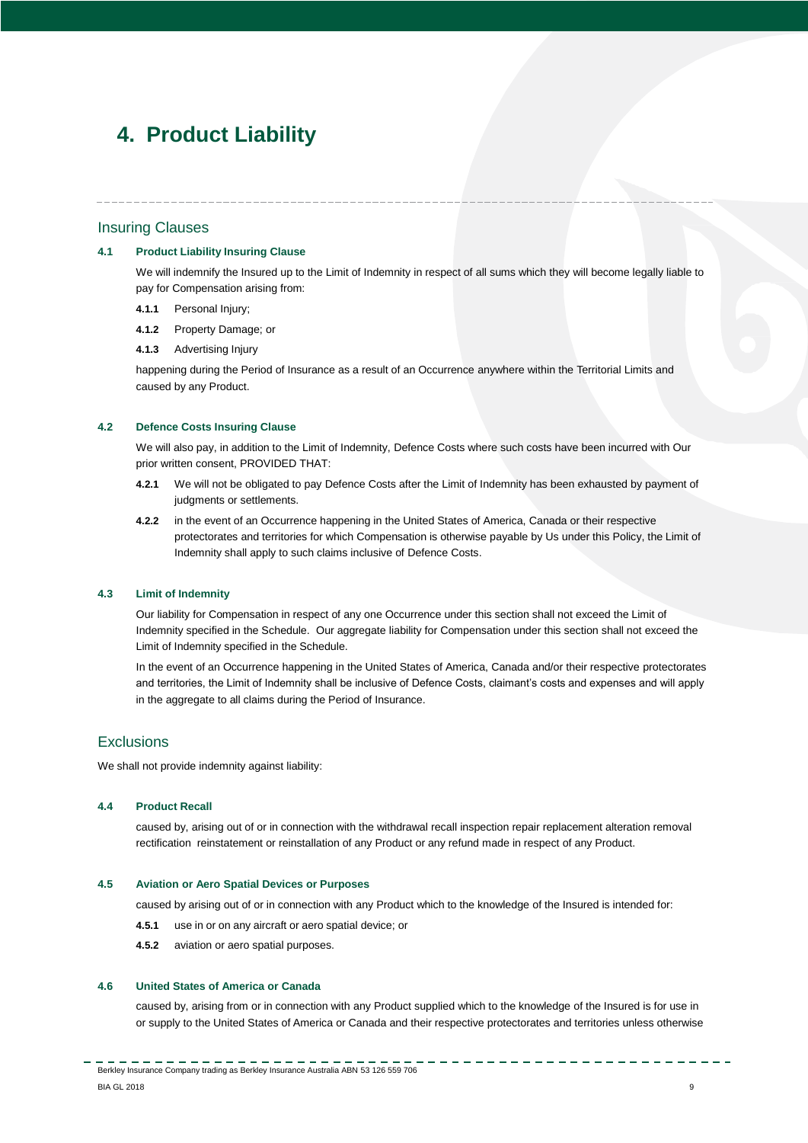# <span id="page-8-0"></span>**4. Product Liability**

## Insuring Clauses

## **4.1 Product Liability Insuring Clause**

We will indemnify the Insured up to the Limit of Indemnity in respect of all sums which they will become legally liable to pay for Compensation arising from:

- **4.1.1** Personal Injury;
- **4.1.2** Property Damage; or
- **4.1.3** Advertising Injury

happening during the Period of Insurance as a result of an Occurrence anywhere within the Territorial Limits and caused by any Product.

## **4.2 Defence Costs Insuring Clause**

We will also pay, in addition to the Limit of Indemnity, Defence Costs where such costs have been incurred with Our prior written consent, PROVIDED THAT:

- **4.2.1** We will not be obligated to pay Defence Costs after the Limit of Indemnity has been exhausted by payment of judgments or settlements.
- **4.2.2** in the event of an Occurrence happening in the United States of America, Canada or their respective protectorates and territories for which Compensation is otherwise payable by Us under this Policy, the Limit of Indemnity shall apply to such claims inclusive of Defence Costs.

#### **4.3 Limit of Indemnity**

Our liability for Compensation in respect of any one Occurrence under this section shall not exceed the Limit of Indemnity specified in the Schedule. Our aggregate liability for Compensation under this section shall not exceed the Limit of Indemnity specified in the Schedule.

In the event of an Occurrence happening in the United States of America, Canada and/or their respective protectorates and territories, the Limit of Indemnity shall be inclusive of Defence Costs, claimant's costs and expenses and will apply in the aggregate to all claims during the Period of Insurance.

# **Exclusions**

We shall not provide indemnity against liability:

#### **4.4 Product Recall**

caused by, arising out of or in connection with the withdrawal recall inspection repair replacement alteration removal rectification reinstatement or reinstallation of any Product or any refund made in respect of any Product.

## **4.5 Aviation or Aero Spatial Devices or Purposes**

caused by arising out of or in connection with any Product which to the knowledge of the Insured is intended for:

- **4.5.1** use in or on any aircraft or aero spatial device; or
- **4.5.2** aviation or aero spatial purposes.

## **4.6 United States of America or Canada**

caused by, arising from or in connection with any Product supplied which to the knowledge of the Insured is for use in or supply to the United States of America or Canada and their respective protectorates and territories unless otherwise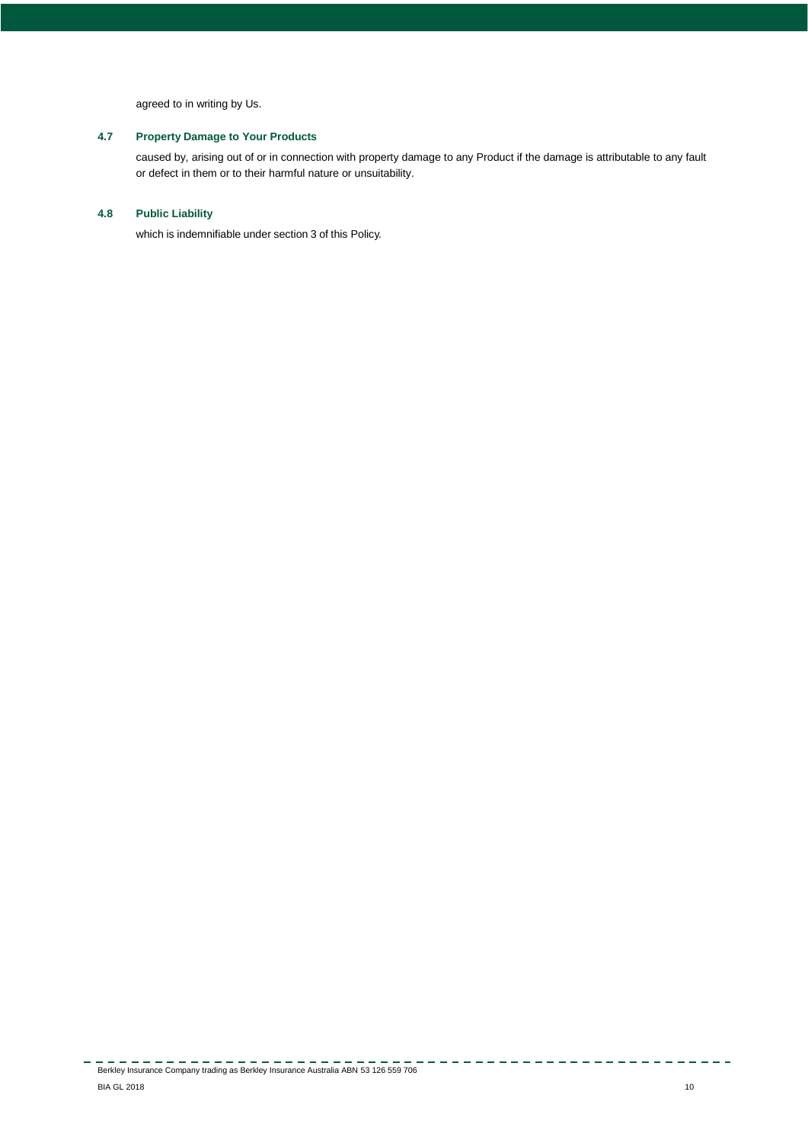agreed to in writing by Us.

# **4.7 Property Damage to Your Products**

caused by, arising out of or in connection with property damage to any Product if the damage is attributable to any fault or defect in them or to their harmful nature or unsuitability.

# **4.8 Public Liability**

which is indemnifiable under section 3 of this Policy.

---------------

 $\sim$   $\sim$   $\sim$   $\sim$   $\sim$   $\sim$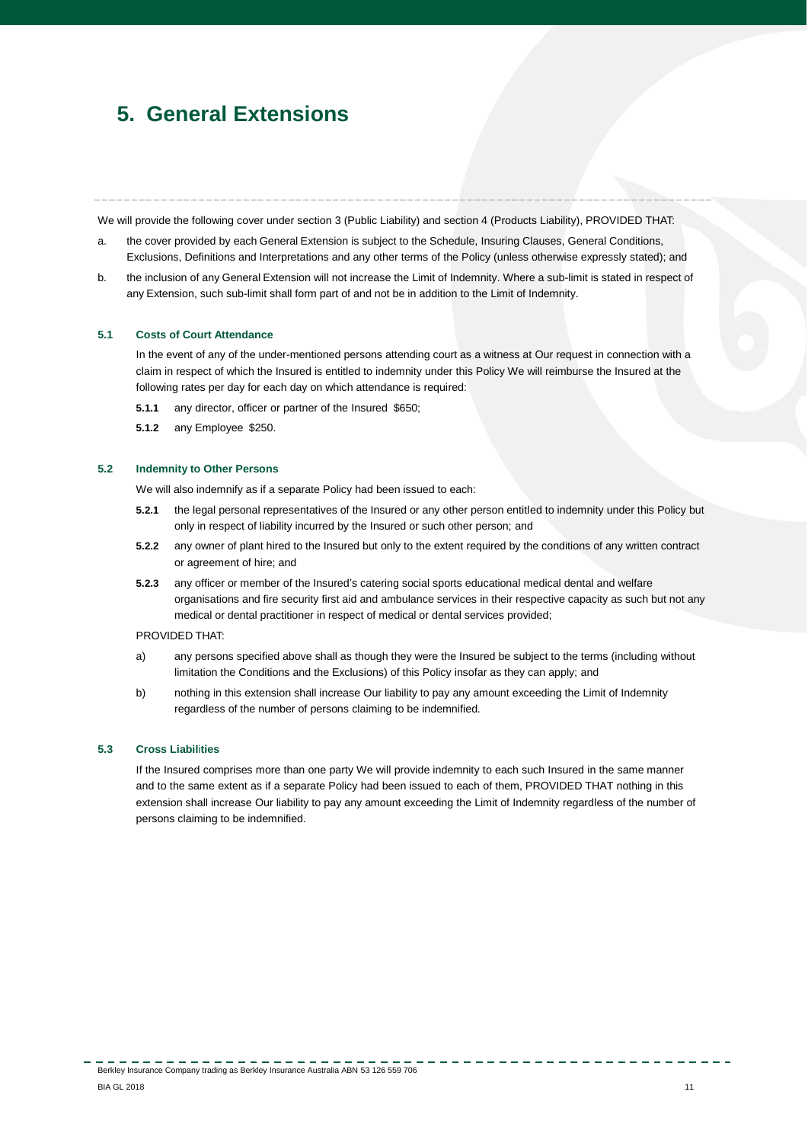# <span id="page-10-0"></span>**5. General Extensions**

We will provide the following cover under section 3 (Public Liability) and section 4 (Products Liability), PROVIDED THAT:

- a. the cover provided by each General Extension is subject to the Schedule, Insuring Clauses, General Conditions, Exclusions, Definitions and Interpretations and any other terms of the Policy (unless otherwise expressly stated); and
- b. the inclusion of any General Extension will not increase the Limit of Indemnity. Where a sub-limit is stated in respect of any Extension, such sub-limit shall form part of and not be in addition to the Limit of Indemnity.

## **5.1 Costs of Court Attendance**

In the event of any of the under-mentioned persons attending court as a witness at Our request in connection with a claim in respect of which the Insured is entitled to indemnity under this Policy We will reimburse the Insured at the following rates per day for each day on which attendance is required:

- **5.1.1** any director, officer or partner of the Insured \$650;
- **5.1.2** any Employee \$250.

#### **5.2 Indemnity to Other Persons**

We will also indemnify as if a separate Policy had been issued to each:

- **5.2.1** the legal personal representatives of the Insured or any other person entitled to indemnity under this Policy but only in respect of liability incurred by the Insured or such other person; and
- **5.2.2** any owner of plant hired to the Insured but only to the extent required by the conditions of any written contract or agreement of hire; and
- **5.2.3** any officer or member of the Insured's catering social sports educational medical dental and welfare organisations and fire security first aid and ambulance services in their respective capacity as such but not any medical or dental practitioner in respect of medical or dental services provided;

## PROVIDED THAT:

- a) any persons specified above shall as though they were the Insured be subject to the terms (including without limitation the Conditions and the Exclusions) of this Policy insofar as they can apply; and
- b) nothing in this extension shall increase Our liability to pay any amount exceeding the Limit of Indemnity regardless of the number of persons claiming to be indemnified.

## **5.3 Cross Liabil**i**ties**

If the Insured comprises more than one party We will provide indemnity to each such Insured in the same manner and to the same extent as if a separate Policy had been issued to each of them, PROVIDED THAT nothing in this extension shall increase Our liability to pay any amount exceeding the Limit of Indemnity regardless of the number of persons claiming to be indemnified.

Berkley Insurance Company trading as Berkley Insurance Australia ABN 53 126 559 706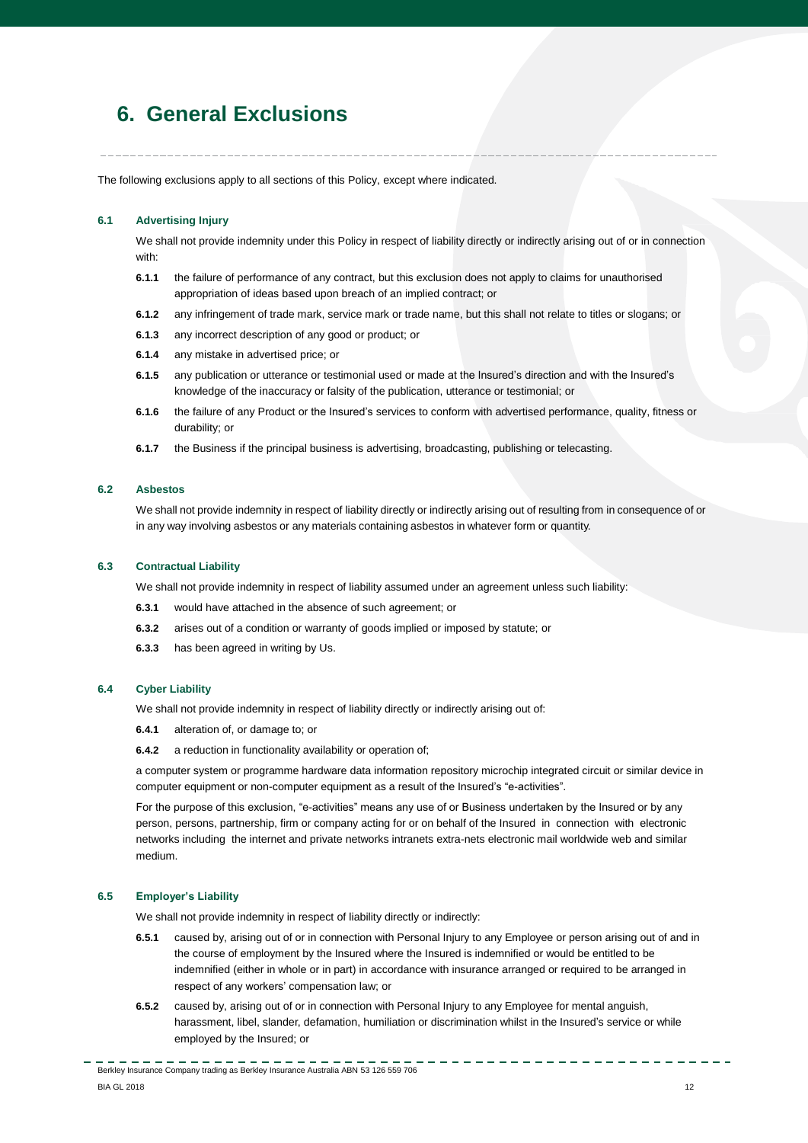# <span id="page-11-0"></span>**6. General Exclusions**

The following exclusions apply to all sections of this Policy, except where indicated.

## **6.1 Advertising Injury**

We shall not provide indemnity under this Policy in respect of liability directly or indirectly arising out of or in connection with:

- **6.1.1** the failure of performance of any contract, but this exclusion does not apply to claims for unauthorised appropriation of ideas based upon breach of an implied contract; or
- **6.1.2** any infringement of trade mark, service mark or trade name, but this shall not relate to titles or slogans; or
- **6.1.3** any incorrect description of any good or product; or
- **6.1.4** any mistake in advertised price; or
- **6.1.5** any publication or utterance or testimonial used or made at the Insured's direction and with the Insured's knowledge of the inaccuracy or falsity of the publication, utterance or testimonial; or
- **6.1.6** the failure of any Product or the Insured's services to conform with advertised performance, quality, fitness or durability; or
- **6.1.7** the Business if the principal business is advertising, broadcasting, publishing or telecasting.

## **6.2 Asbestos**

We shall not provide indemnity in respect of liability directly or indirectly arising out of resulting from in consequence of or in any way involving asbestos or any materials containing asbestos in whatever form or quantity.

#### **6.3 Con**t**ractual Liability**

We shall not provide indemnity in respect of liability assumed under an agreement unless such liability:

- **6.3.1** would have attached in the absence of such agreement; or
- **6.3.2** arises out of a condition or warranty of goods implied or imposed by statute; or
- **6.3.3** has been agreed in writing by Us.

## **6.4 Cyber Liability**

We shall not provide indemnity in respect of liability directly or indirectly arising out of:

- **6.4.1** alteration of, or damage to; or
- **6.4.2** a reduction in functionality availability or operation of;

a computer system or programme hardware data information repository microchip integrated circuit or similar device in computer equipment or non-computer equipment as a result of the Insured's "e-activities".

For the purpose of this exclusion, "e-activities" means any use of or Business undertaken by the Insured or by any person, persons, partnership, firm or company acting for or on behalf of the Insured in connection with electronic networks including the internet and private networks intranets extra-nets electronic mail worldwide web and similar medium.

## **6.5 Employer's Liability**

We shall not provide indemnity in respect of liability directly or indirectly:

- **6.5.1** caused by, arising out of or in connection with Personal Injury to any Employee or person arising out of and in the course of employment by the Insured where the Insured is indemnified or would be entitled to be indemnified (either in whole or in part) in accordance with insurance arranged or required to be arranged in respect of any workers' compensation law; or
- **6.5.2** caused by, arising out of or in connection with Personal Injury to any Employee for mental anguish, harassment, libel, slander, defamation, humiliation or discrimination whilst in the Insured's service or while employed by the Insured; or

Berkley Insurance Company trading as Berkley Insurance Australia ABN 53 126 559 706 er and the set of the set of the set of the set of the set of the set of the set of the set of the set of the set of the set of the set of the set of the set of the set of the set of the set of the set of the set of the se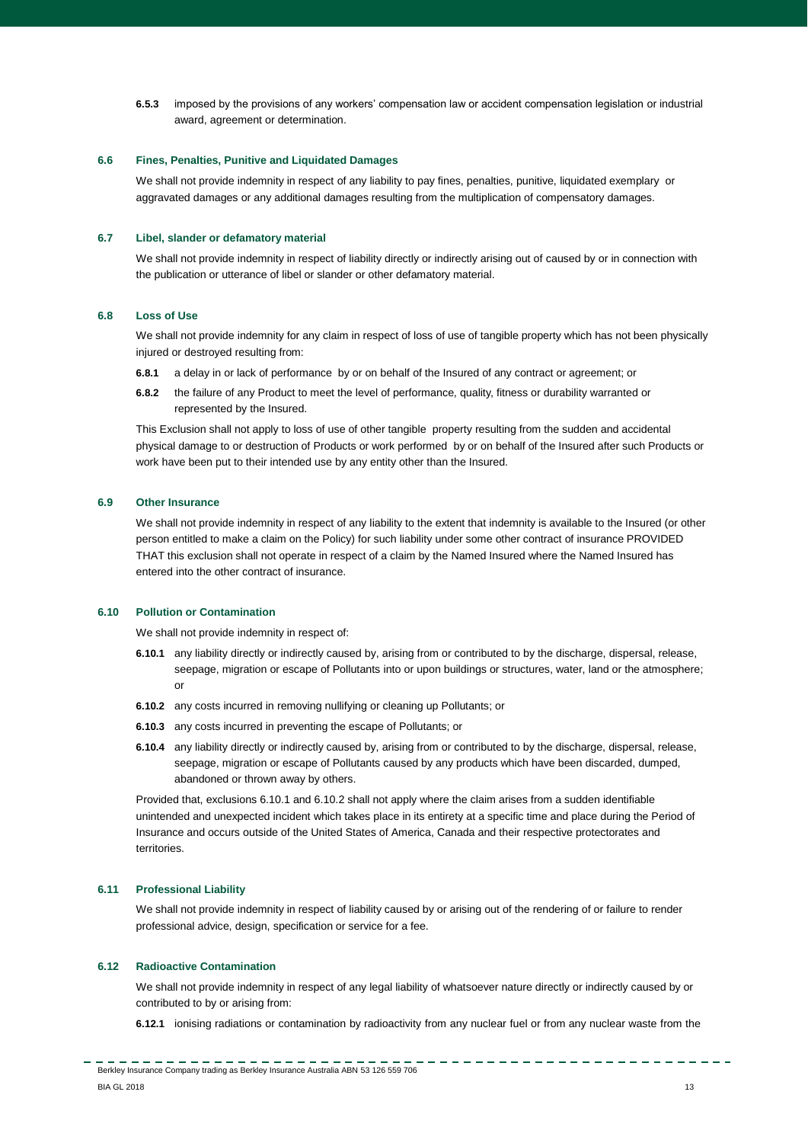**6.5.3** imposed by the provisions of any workers' compensation law or accident compensation legislation or industrial award, agreement or determination.

## **6.6 Fines, Penalties, Punitive and Liquidated Damages**

We shall not provide indemnity in respect of any liability to pay fines, penalties, punitive, liquidated exemplary or aggravated damages or any additional damages resulting from the multiplication of compensatory damages.

### **6.7 Libel, slander or defamatory material**

We shall not provide indemnity in respect of liability directly or indirectly arising out of caused by or in connection with the publication or utterance of libel or slander or other defamatory material.

#### **6.8 Loss of Use**

We shall not provide indemnity for any claim in respect of loss of use of tangible property which has not been physically injured or destroyed resulting from:

- **6.8.1** a delay in or lack of performance by or on behalf of the Insured of any contract or agreement; or
- **6.8.2** the failure of any Product to meet the level of performance, quality, fitness or durability warranted or represented by the Insured.

This Exclusion shall not apply to loss of use of other tangible property resulting from the sudden and accidental physical damage to or destruction of Products or work performed by or on behalf of the Insured after such Products or work have been put to their intended use by any entity other than the Insured.

### **6.9 Other Insurance**

We shall not provide indemnity in respect of any liability to the extent that indemnity is available to the Insured (or other person entitled to make a claim on the Policy) for such liability under some other contract of insurance PROVIDED THAT this exclusion shall not operate in respect of a claim by the Named Insured where the Named Insured has entered into the other contract of insurance.

#### **6.10 Pollution or Contamination**

We shall not provide indemnity in respect of:

- **6.10.1** any liability directly or indirectly caused by, arising from or contributed to by the discharge, dispersal, release, seepage, migration or escape of Pollutants into or upon buildings or structures, water, land or the atmosphere; or
- **6.10.2** any costs incurred in removing nullifying or cleaning up Pollutants; or
- **6.10.3** any costs incurred in preventing the escape of Pollutants; or
- **6.10.4** any liability directly or indirectly caused by, arising from or contributed to by the discharge, dispersal, release, seepage, migration or escape of Pollutants caused by any products which have been discarded, dumped, abandoned or thrown away by others.

Provided that, exclusions 6.10.1 and 6.10.2 shall not apply where the claim arises from a sudden identifiable unintended and unexpected incident which takes place in its entirety at a specific time and place during the Period of Insurance and occurs outside of the United States of America, Canada and their respective protectorates and territories

## **6.11 Professional Liability**

We shall not provide indemnity in respect of liability caused by or arising out of the rendering of or failure to render professional advice, design, specification or service for a fee.

## **6.12 Radioactive Contamination**

We shall not provide indemnity in respect of any legal liability of whatsoever nature directly or indirectly caused by or contributed to by or arising from:

**6.12.1** ionising radiations or contamination by radioactivity from any nuclear fuel or from any nuclear waste from the

. . . . . . . . . . . . . .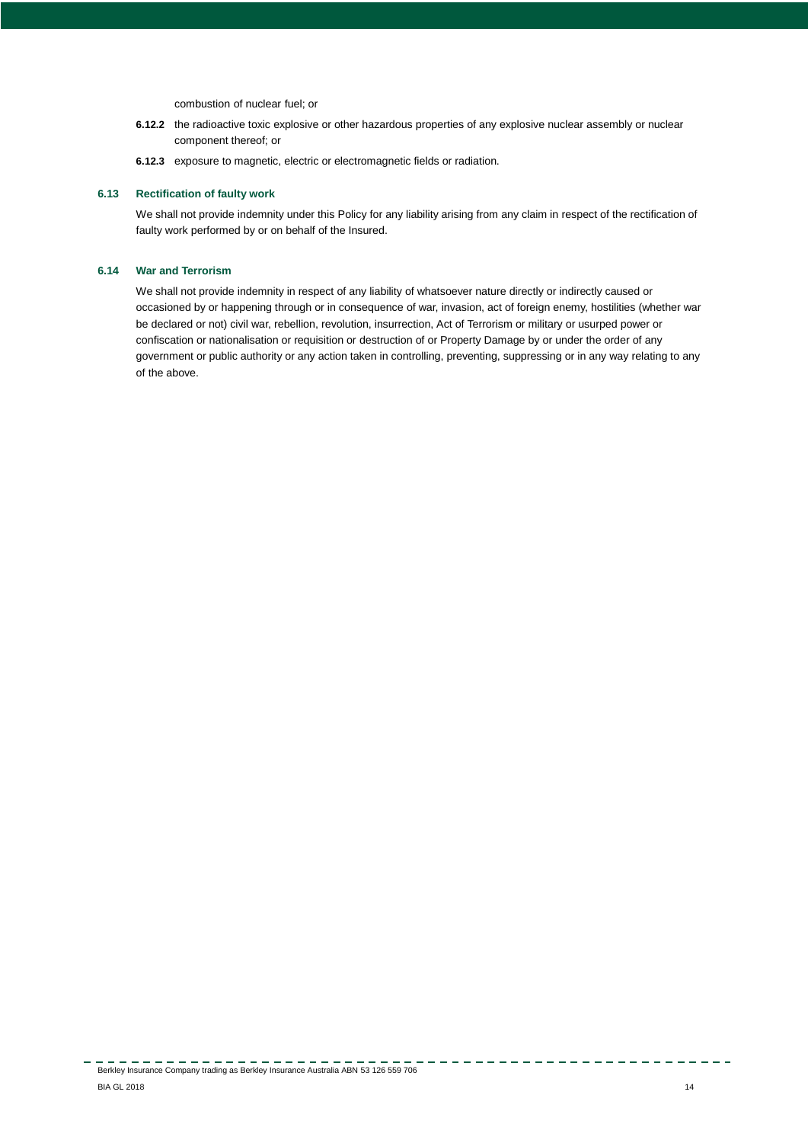combustion of nuclear fuel; or

- **6.12.2** the radioactive toxic explosive or other hazardous properties of any explosive nuclear assembly or nuclear component thereof; or
- **6.12.3** exposure to magnetic, electric or electromagnetic fields or radiation.

## **6.13 Rectification of faulty work**

We shall not provide indemnity under this Policy for any liability arising from any claim in respect of the rectification of faulty work performed by or on behalf of the Insured.

## **6.14 War and Terrorism**

We shall not provide indemnity in respect of any liability of whatsoever nature directly or indirectly caused or occasioned by or happening through or in consequence of war, invasion, act of foreign enemy, hostilities (whether war be declared or not) civil war, rebellion, revolution, insurrection, Act of Terrorism or military or usurped power or confiscation or nationalisation or requisition or destruction of or Property Damage by or under the order of any government or public authority or any action taken in controlling, preventing, suppressing or in any way relating to any of the above.

-----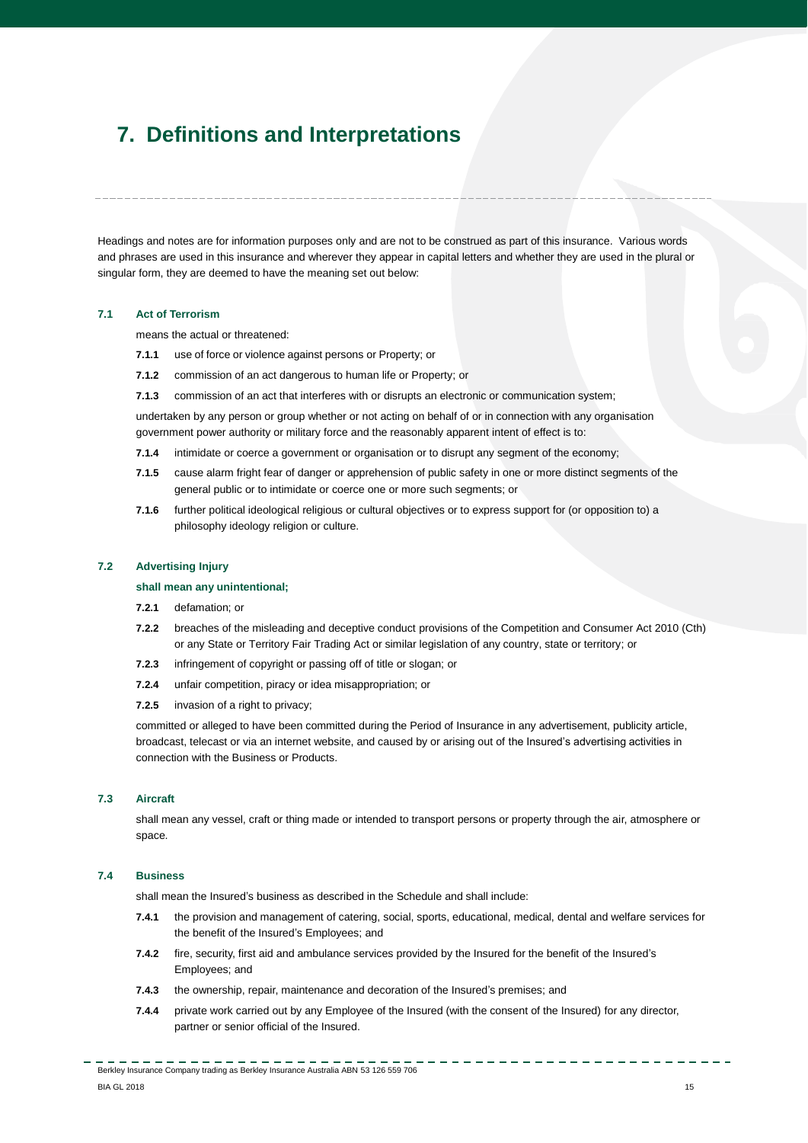# <span id="page-14-0"></span>**7. Definitions and Interpretations**

Headings and notes are for information purposes only and are not to be construed as part of this insurance. Various words and phrases are used in this insurance and wherever they appear in capital letters and whether they are used in the plural or singular form, they are deemed to have the meaning set out below:

### **7.1 Act of Terrorism**

means the actual or threatened:

- **7.1.1** use of force or violence against persons or Property; or
- **7.1.2** commission of an act dangerous to human life or Property; or
- **7.1.3** commission of an act that interferes with or disrupts an electronic or communication system;

undertaken by any person or group whether or not acting on behalf of or in connection with any organisation government power authority or military force and the reasonably apparent intent of effect is to:

- **7.1.4** intimidate or coerce a government or organisation or to disrupt any segment of the economy;
- **7.1.5** cause alarm fright fear of danger or apprehension of public safety in one or more distinct segments of the general public or to intimidate or coerce one or more such segments; or
- **7.1.6** further political ideological religious or cultural objectives or to express support for (or opposition to) a philosophy ideology religion or culture.

#### **7.2 Advertising Injury**

## **shall mean any unintentional;**

- **7.2.1** defamation; or
- **7.2.2** breaches of the misleading and deceptive conduct provisions of the Competition and Consumer Act 2010 (Cth) or any State or Territory Fair Trading Act or similar legislation of any country, state or territory; or
- **7.2.3** infringement of copyright or passing off of title or slogan; or
- **7.2.4** unfair competition, piracy or idea misappropriation; or
- **7.2.5** invasion of a right to privacy;

committed or alleged to have been committed during the Period of Insurance in any advertisement, publicity article, broadcast, telecast or via an internet website, and caused by or arising out of the Insured's advertising activities in connection with the Business or Products.

## **7.3 Aircraft**

shall mean any vessel, craft or thing made or intended to transport persons or property through the air, atmosphere or space.

## **7.4 Business**

shall mean the Insured's business as described in the Schedule and shall include:

- **7.4.1** the provision and management of catering, social, sports, educational, medical, dental and welfare services for the benefit of the Insured's Employees; and
- **7.4.2** fire, security, first aid and ambulance services provided by the Insured for the benefit of the Insured's Employees; and
- **7.4.3** the ownership, repair, maintenance and decoration of the Insured's premises; and
- **7.4.4** private work carried out by any Employee of the Insured (with the consent of the Insured) for any director, partner or senior official of the Insured.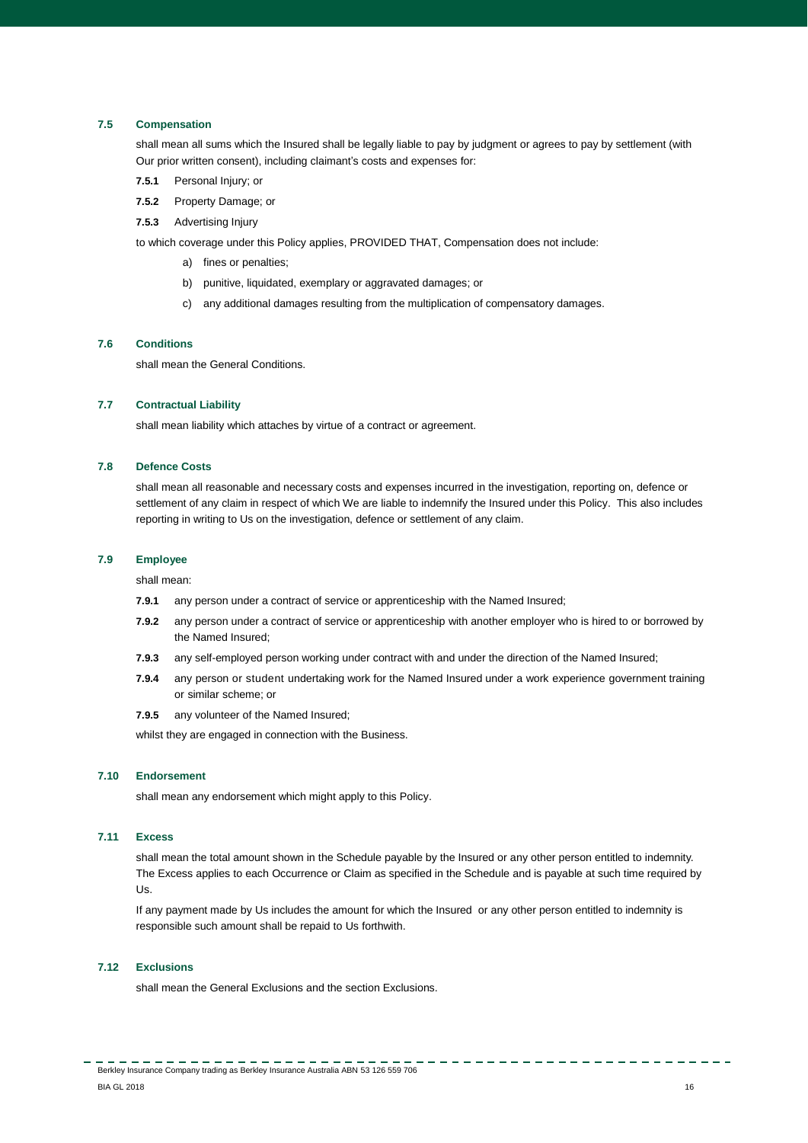## **7.5 Compensation**

shall mean all sums which the Insured shall be legally liable to pay by judgment or agrees to pay by settlement (with Our prior written consent), including claimant's costs and expenses for:

- **7.5.1** Personal Injury; or
- **7.5.2** Property Damage; or
- **7.5.3** Advertising Injury

to which coverage under this Policy applies, PROVIDED THAT, Compensation does not include:

- a) fines or penalties;
- b) punitive, liquidated, exemplary or aggravated damages; or
- c) any additional damages resulting from the multiplication of compensatory damages.

## **7.6 Conditions**

shall mean the General Conditions.

## **7.7 Contractual Liability**

shall mean liability which attaches by virtue of a contract or agreement.

## **7.8 Defence Costs**

shall mean all reasonable and necessary costs and expenses incurred in the investigation, reporting on, defence or settlement of any claim in respect of which We are liable to indemnify the Insured under this Policy. This also includes reporting in writing to Us on the investigation, defence or settlement of any claim.

## **7.9 Employee**

shall mean:

- **7.9.1** any person under a contract of service or apprenticeship with the Named Insured;
- **7.9.2** any person under a contract of service or apprenticeship with another employer who is hired to or borrowed by the Named Insured;
- **7.9.3** any self-employed person working under contract with and under the direction of the Named Insured;
- **7.9.4** any person or student undertaking work for the Named Insured under a work experience government training or similar scheme; or
- **7.9.5** any volunteer of the Named Insured;

whilst they are engaged in connection with the Business.

## **7.10 Endorsement**

shall mean any endorsement which might apply to this Policy.

## **7.11 Excess**

shall mean the total amount shown in the Schedule payable by the Insured or any other person entitled to indemnity. The Excess applies to each Occurrence or Claim as specified in the Schedule and is payable at such time required by Us.

If any payment made by Us includes the amount for which the Insured or any other person entitled to indemnity is responsible such amount shall be repaid to Us forthwith.

## **7.12 Exclusions**

shall mean the General Exclusions and the section Exclusions.

Berkley Insurance Company trading as Berkley Insurance Australia ABN 53 126 559 706 er and the set of the set of the set of the set of the set of the set of the set of the set of the set of the set of the set of the set of the set of the set of the set of the set of the set of the set of the set of the se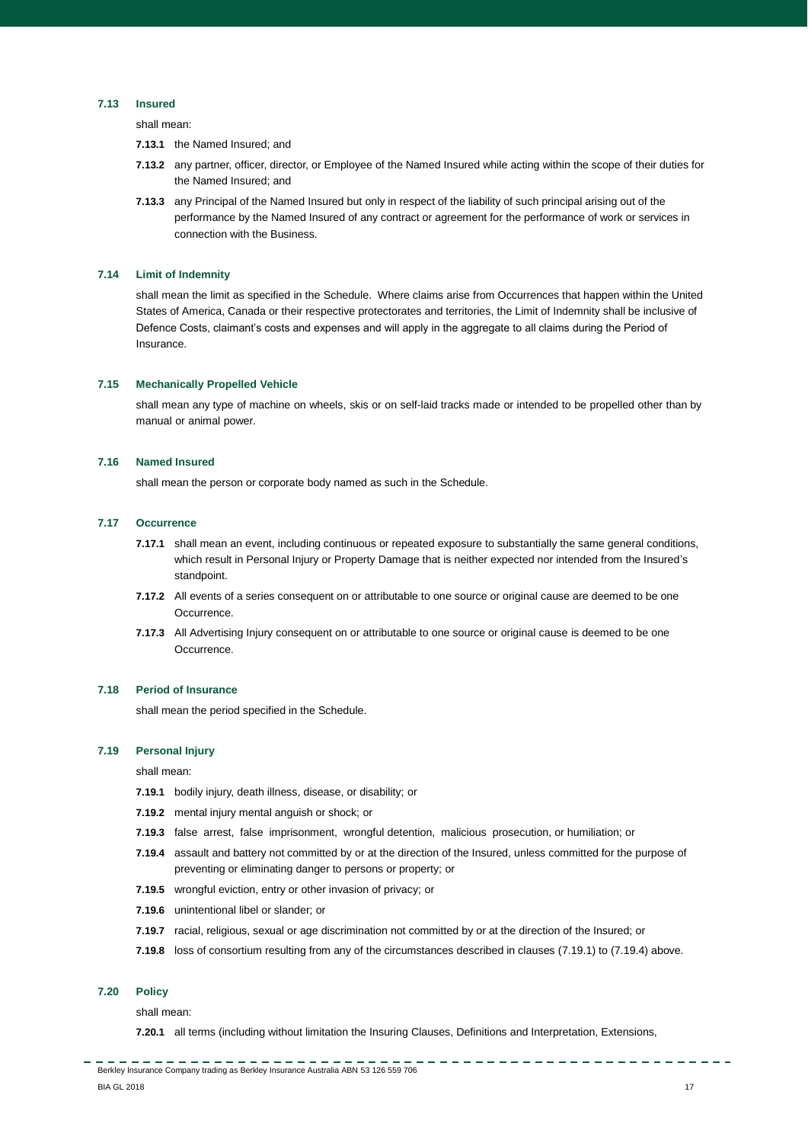## **7.13 Insured**

shall mean:

- **7.13.1** the Named Insured; and
- **7.13.2** any partner, officer, director, or Employee of the Named Insured while acting within the scope of their duties for the Named Insured; and
- **7.13.3** any Principal of the Named Insured but only in respect of the liability of such principal arising out of the performance by the Named Insured of any contract or agreement for the performance of work or services in connection with the Business.

## **7.14 Limit of Indemnity**

shall mean the limit as specified in the Schedule. Where claims arise from Occurrences that happen within the United States of America, Canada or their respective protectorates and territories, the Limit of Indemnity shall be inclusive of Defence Costs, claimant's costs and expenses and will apply in the aggregate to all claims during the Period of Insurance.

### **7.15 Mechanically Propelled Vehicle**

shall mean any type of machine on wheels, skis or on self-laid tracks made or intended to be propelled other than by manual or animal power.

## **7.16 Named Insured**

shall mean the person or corporate body named as such in the Schedule.

### **7.17 Occurrence**

- **7.17.1** shall mean an event, including continuous or repeated exposure to substantially the same general conditions, which result in Personal Injury or Property Damage that is neither expected nor intended from the Insured's standpoint.
- **7.17.2** All events of a series consequent on or attributable to one source or original cause are deemed to be one Occurrence.
- **7.17.3** All Advertising Injury consequent on or attributable to one source or original cause is deemed to be one Occurrence.

## **7.18 Period of Insurance**

shall mean the period specified in the Schedule.

## **7.19 Personal Injury**

shall mean:

- **7.19.1** bodily injury, death illness, disease, or disability; or
- **7.19.2** mental injury mental anguish or shock; or
- **7.19.3** false arrest, false imprisonment, wrongful detention, malicious prosecution, or humiliation; or
- **7.19.4** assault and battery not committed by or at the direction of the Insured, unless committed for the purpose of preventing or eliminating danger to persons or property; or
- **7.19.5** wrongful eviction, entry or other invasion of privacy; or
- **7.19.6** unintentional libel or slander; or
- **7.19.7** racial, religious, sexual or age discrimination not committed by or at the direction of the Insured; or
- **7.19.8** loss of consortium resulting from any of the circumstances described in clauses (7.19.1) to (7.19.4) above.

## **7.20 Policy**

shall mean:

**7.20.1** all terms (including without limitation the Insuring Clauses, Definitions and Interpretation, Extensions,

----------------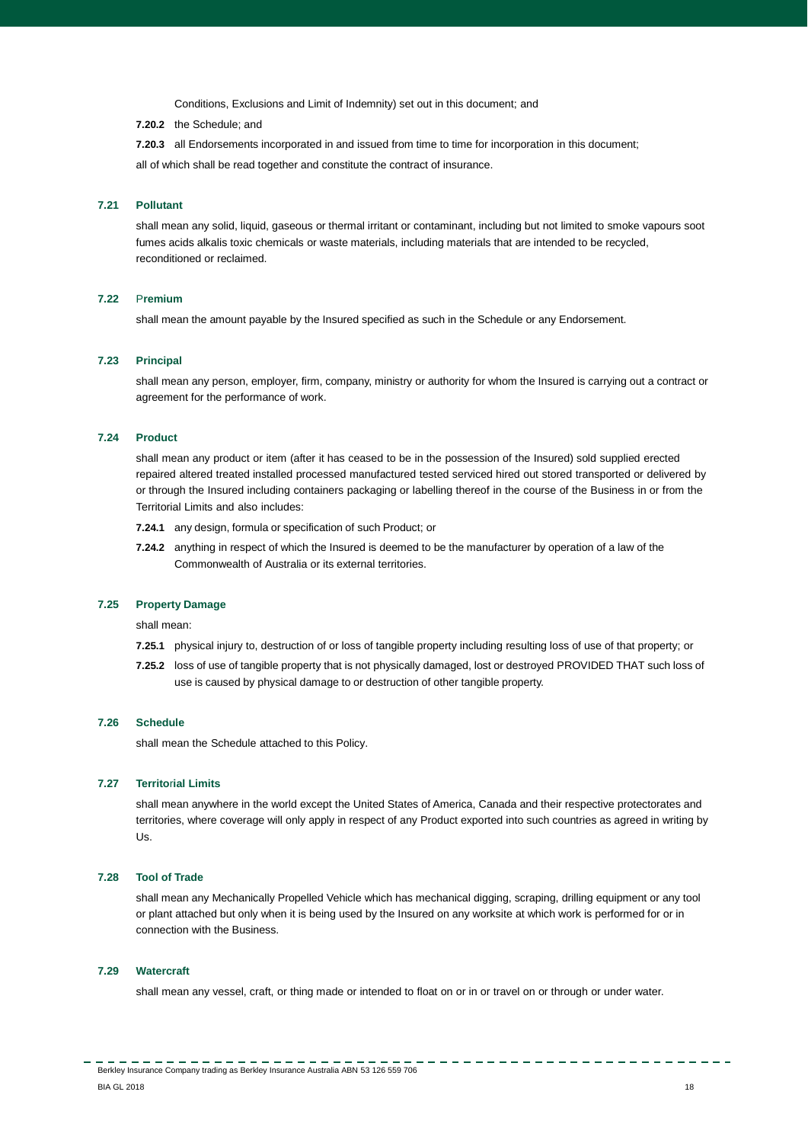Conditions, Exclusions and Limit of Indemnity) set out in this document; and

**7.20.2** the Schedule; and

**7.20.3** all Endorsements incorporated in and issued from time to time for incorporation in this document;

all of which shall be read together and constitute the contract of insurance.

## **7.21 Pollutant**

shall mean any solid, liquid, gaseous or thermal irritant or contaminant, including but not limited to smoke vapours soot fumes acids alkalis toxic chemicals or waste materials, including materials that are intended to be recycled, reconditioned or reclaimed.

# **7.22** P**remium**

shall mean the amount payable by the Insured specified as such in the Schedule or any Endorsement.

#### **7.23 Principal**

shall mean any person, employer, firm, company, ministry or authority for whom the Insured is carrying out a contract or agreement for the performance of work.

## **7.24 Product**

shall mean any product or item (after it has ceased to be in the possession of the Insured) sold supplied erected repaired altered treated installed processed manufactured tested serviced hired out stored transported or delivered by or through the Insured including containers packaging or labelling thereof in the course of the Business in or from the Territorial Limits and also includes:

- **7.24.1** any design, formula or specification of such Product; or
- **7.24.2** anything in respect of which the Insured is deemed to be the manufacturer by operation of a law of the Commonwealth of Australia or its external territories.

#### **7.25 Property Damage**

shall mean:

- **7.25.1** physical injury to, destruction of or loss of tangible property including resulting loss of use of that property; or
- **7.25.2** loss of use of tangible property that is not physically damaged, lost or destroyed PROVIDED THAT such loss of use is caused by physical damage to or destruction of other tangible property.

## **7.26 Schedule**

shall mean the Schedule attached to this Policy.

#### **7.27 Territo**r**ial Limits**

shall mean anywhere in the world except the United States of America, Canada and their respective protectorates and territories, where coverage will only apply in respect of any Product exported into such countries as agreed in writing by Us.

#### **7.28 Tool of Trade**

shall mean any Mechanically Propelled Vehicle which has mechanical digging, scraping, drilling equipment or any tool or plant attached but only when it is being used by the Insured on any worksite at which work is performed for or in connection with the Business.

#### **7.29 Watercraft**

shall mean any vessel, craft, or thing made or intended to float on or in or travel on or through or under water.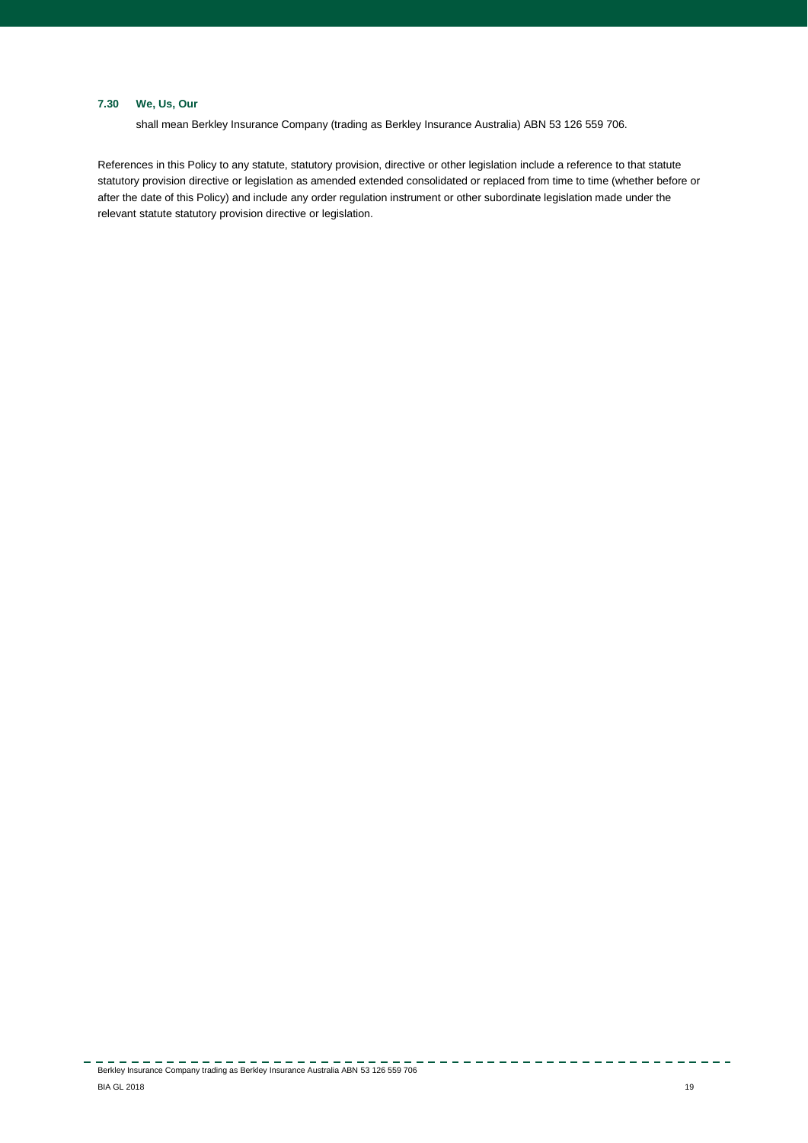# **7.30 We, Us, Our**

shall mean Berkley Insurance Company (trading as Berkley Insurance Australia) ABN 53 126 559 706.

References in this Policy to any statute, statutory provision, directive or other legislation include a reference to that statute statutory provision directive or legislation as amended extended consolidated or replaced from time to time (whether before or after the date of this Policy) and include any order regulation instrument or other subordinate legislation made under the relevant statute statutory provision directive or legislation.

 $\frac{1}{2} \frac{1}{2} \frac{1}{2} \frac{1}{2} \frac{1}{2} \frac{1}{2} \frac{1}{2} \frac{1}{2} \frac{1}{2} \frac{1}{2} \frac{1}{2} \frac{1}{2} \frac{1}{2} \frac{1}{2} \frac{1}{2} \frac{1}{2} \frac{1}{2} \frac{1}{2} \frac{1}{2} \frac{1}{2} \frac{1}{2} \frac{1}{2} \frac{1}{2} \frac{1}{2} \frac{1}{2} \frac{1}{2} \frac{1}{2} \frac{1}{2} \frac{1}{2} \frac{1}{2} \frac{1}{2} \frac{$ 

---------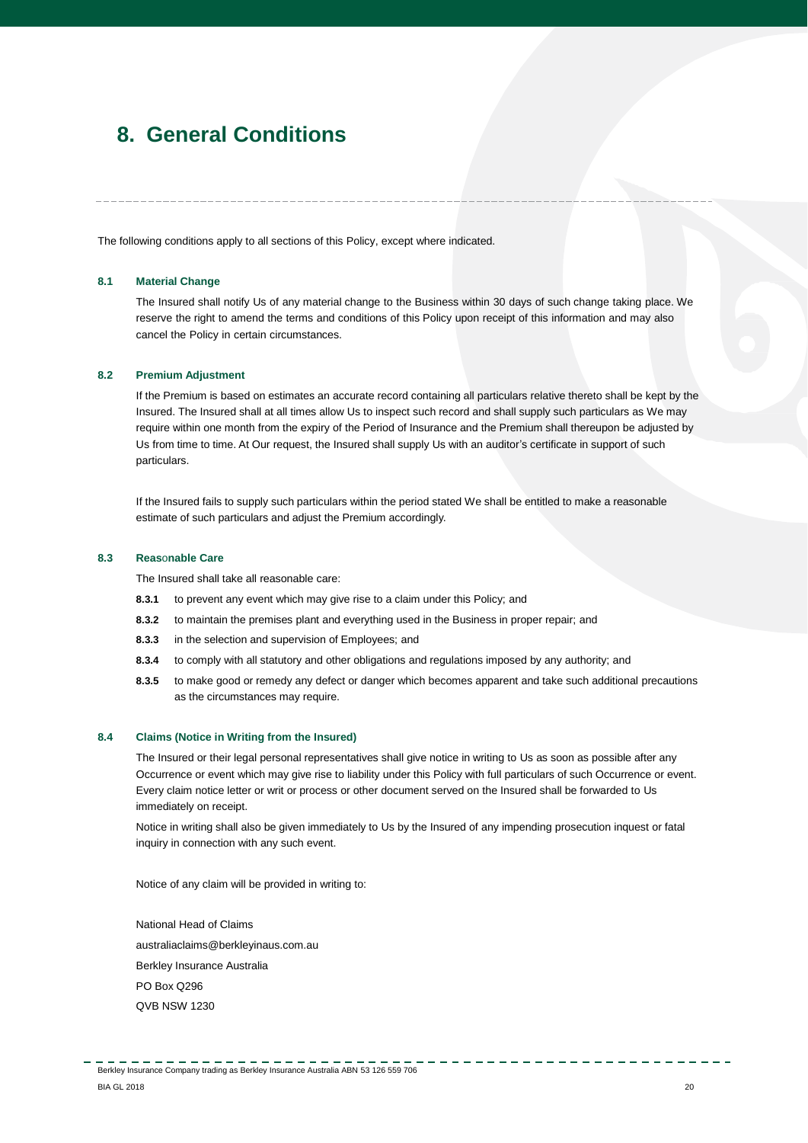# <span id="page-19-0"></span>**8. General Conditions**

The following conditions apply to all sections of this Policy, except where indicated.

## **8.1 Material Change**

The Insured shall notify Us of any material change to the Business within 30 days of such change taking place. We reserve the right to amend the terms and conditions of this Policy upon receipt of this information and may also cancel the Policy in certain circumstances.

### **8.2 Premium Adjustment**

If the Premium is based on estimates an accurate record containing all particulars relative thereto shall be kept by the Insured. The Insured shall at all times allow Us to inspect such record and shall supply such particulars as We may require within one month from the expiry of the Period of Insurance and the Premium shall thereupon be adjusted by Us from time to time. At Our request, the Insured shall supply Us with an auditor's certificate in support of such particulars.

If the Insured fails to supply such particulars within the period stated We shall be entitled to make a reasonable estimate of such particulars and adjust the Premium accordingly.

## **8.3 Reas**o**nable Care**

The Insured shall take all reasonable care:

- **8.3.1** to prevent any event which may give rise to a claim under this Policy; and
- **8.3.2** to maintain the premises plant and everything used in the Business in proper repair; and
- **8.3.3** in the selection and supervision of Employees; and
- **8.3.4** to comply with all statutory and other obligations and regulations imposed by any authority; and
- **8.3.5** to make good or remedy any defect or danger which becomes apparent and take such additional precautions as the circumstances may require.

## **8.4 Claims (Notice in Writing from the Insured)**

The Insured or their legal personal representatives shall give notice in writing to Us as soon as possible after any Occurrence or event which may give rise to liability under this Policy with full particulars of such Occurrence or event. Every claim notice letter or writ or process or other document served on the Insured shall be forwarded to Us immediately on receipt.

Notice in writing shall also be given immediately to Us by the Insured of any impending prosecution inquest or fatal inquiry in connection with any such event.

Notice of any claim will be provided in writing to:

National Head of Claims australiaclaims@berkleyinaus.com.au Berkley Insurance Australia PO Box Q296 QVB NSW 1230